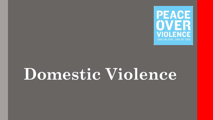

# **Domestic Violence**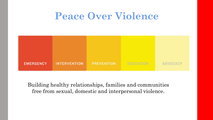### **Peace Over Violence**



Building healthy relationships, families and communities free from sexual, domestic and interpersonal violence.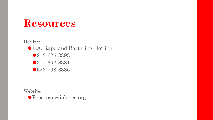Hotline:

⚫L.A. Rape and Battering Hotline ●213-626-3393 ⚫310-392-8381

● 626-793-3385

Website:

⚫Peaceoverviolence.org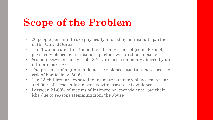# **Scope of the Problem**

- 20 people per minute are physically abused by an intimate partner in the United States
- 1 in 3 women and 1 in 4 men have been victims of [some form of] physical violence by an intimate partner within their lifetime
- Women between the ages of 18-24 are most commonly abused by an intimate partner
- The presence of a gun in a domestic violence situation increases the risk of homicide by 500%
- 1 in 15 children are exposed to intimate partner violence each year, and 90% of these children are eyewitnesses to this violence
- Between 21-60% of victims of intimate partner violence lose their jobs due to reasons stemming from the abuse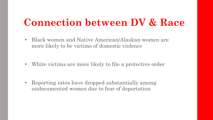### **Connection between DV & Race**

• Black women and Native American/Alaskan women are more likely to be victims of domestic violence

• White victims are more likely to file a protective order

• Reporting rates have dropped substantially among undocumented women due to fear of deportation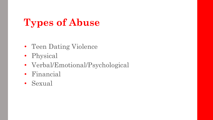# **Types of Abuse**

- Teen Dating Violence
- Physical
- Verbal/Emotional/Psychological
- Financial
- Sexual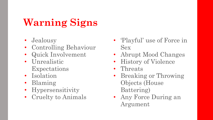# **Warning Signs**

- Jealousy
- Controlling Behaviour
- Quick Involvement
- Unrealistic Expectations
- Isolation
- Blaming
- Hypersensitivity
- Cruelty to Animals
- 'Playful' use of Force in Sex
- Abrupt Mood Changes
- History of Violence
- Threats
- Breaking or Throwing Objects (House Battering)
- Any Force During an Argument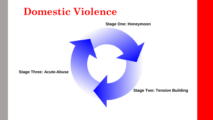### **Domestic Violence**

**Stage One: Honeymoon**

**Stage Three: Acute-Abuse**

**Stage Two: Tension Building**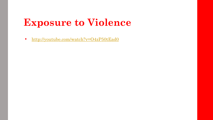# **Exposure to Violence**

• <http://youtube.com/watch?v=O4zP50tEad0>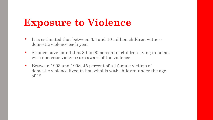# **Exposure to Violence**

- It is estimated that between 3.3 and 10 million children witness domestic violence each year
- Studies have found that 80 to 90 percent of children living in homes with domestic violence are aware of the violence
- Between 1993 and 1998, 45 percent of all female victims of domestic violence lived in households with children under the age of 12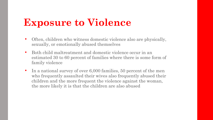# **Exposure to Violence**

- Often, children who witness domestic violence also are physically, sexually, or emotionally abused themselves
- Both child maltreatment and domestic violence occur in an estimated 30 to 60 percent of families where there is some form of family violence
- In a national survey of over 6,000 families, 50 percent of the men who frequently assaulted their wives also frequently abused their children and the more frequent the violence against the woman, the more likely it is that the children are also abused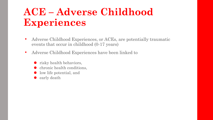# **ACE – Adverse Childhood Experiences**

- Adverse Childhood Experiences, or ACEs, are potentially traumatic events that occur in childhood (0-17 years)
- Adverse Childhood Experiences have been linked to
	- ⚫ risky health behaviors,
	- ⚫ chronic health conditions,
	- low life potential, and
	- ⚫ early death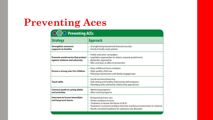# **Preventing Aces**

#### **XXX** Preventing ACEs

| <b>Strategy</b>                                                            | <b>Approach</b>                                                                                                                                                                                                                           |
|----------------------------------------------------------------------------|-------------------------------------------------------------------------------------------------------------------------------------------------------------------------------------------------------------------------------------------|
| <b>Strengthen economic</b><br>supports to families                         | • Strengthening household financial security<br>• Family-friendly work policies                                                                                                                                                           |
| <b>Promote social norms that protect</b><br>against violence and adversity | • Public education campaigns<br>• Legislative approaches to reduce corporal punishment<br>• Bystander approaches<br>• Men and boys as allies in prevention                                                                                |
| <b>Ensure a strong start for children</b>                                  | Early childhood home visitation<br>• High-quality child care<br>• Preschool enrichment with family engagement                                                                                                                             |
| <b>Teach skills</b>                                                        | • Social-emotional learning<br>• Safe dating and healthy relationship skill programs<br>• Parenting skills and family relationship approaches                                                                                             |
| <b>Connect youth to caring adults</b><br>and activities                    | • Mentoring programs<br>• After-school programs                                                                                                                                                                                           |
| Intervene to lessen immediate<br>and long-term harms                       | • Enhanced primary care<br>• Victim-centered services<br>• Treatment to lessen the harms of ACEs<br>• Treatment to prevent problem behavior and future involvement in violence<br>• Family-centered treatment for substance use disorders |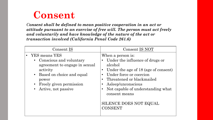### **Consent**

*Consent shall be defined to mean positive cooperation in an act or attitude pursuant to an exercise of free will. The person must act freely and voluntarily and have knowledge of the nature of the act or transaction involved (California Penal Code 261.6)*

| Consent IS                                                                                                                                                                        | Consent IS NOT                                                                                                                                                                                                                                                                                                                                                        |
|-----------------------------------------------------------------------------------------------------------------------------------------------------------------------------------|-----------------------------------------------------------------------------------------------------------------------------------------------------------------------------------------------------------------------------------------------------------------------------------------------------------------------------------------------------------------------|
| YES means YES<br>• Conscious and voluntary<br>agreement to engage in sexual<br>activity<br>• Based on choice and equal<br>power<br>Freely given permission<br>Active, not passive | When a person is:<br>Under the influence of drugs or<br>$\bullet$<br>alcohol<br>Under the age of 18 (age of consent)<br>$\bullet$<br>Under force or coercion<br>$\bullet$<br>Threatened or blackmailed<br>$\bullet$<br>Asleep/unconscious<br>$\bullet$<br>Not capable of understanding what<br>$\bullet$<br>consent means<br>SILENCE DOES NOT EQUAL<br><b>CONSENT</b> |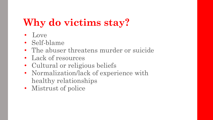# **Why do victims stay?**

- Love
- Self-blame
- The abuser threatens murder or suicide
- Lack of resources
- Cultural or religious beliefs
- Normalization/lack of experience with healthy relationships
- Mistrust of police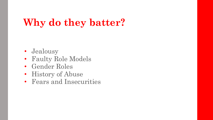# **Why do they batter?**

- Jealousy
- Faulty Role Models
- Gender Roles
- History of Abuse
- Fears and Insecurities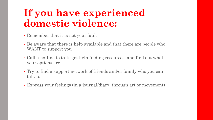# **If you have experienced domestic violence:**

- Remember that it is not your fault
- Be aware that there is help available and that there are people who WANT to support you
- Call a hotline to talk, get help finding resources, and find out what your options are
- Try to find a support network of friends and/or family who you can talk to
- Express your feelings (in a journal/diary, through art or movement)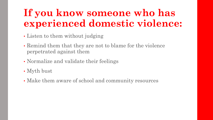# **If you know someone who has experienced domestic violence:**

- Listen to them without judging
- Remind them that they are not to blame for the violence perpetrated against them
- Normalize and validate their feelings
- Myth bust
- Make them aware of school and community resources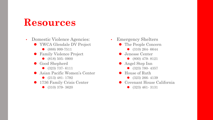- Domestic Violence Agencies:
	- ⚫ YWCA Glendale DV Project
		- ⚫ (888) 999-7511
	- ⚫ Family Violence Project
		- (818) 505- 0900
	- Good Shepherd
		- ⚫ (323) 737- 6111
	- Asian Pacific Women's Center
		- (213) 481- 1792
	- 1736 Family Crisis Center
		- (310) 379- 3620
- Emergency Shelters
	- ⚫ The People Concern
		- ⚫ (310) 264- 6644
	- Jenesse Center
		- ⚫ (800) 479- 8121
	- ⚫ Angel Step Inn
		- (323) 780- 4357
	- House of Ruth
		- (323) 266-4139
	- Covenant House California
		- (323) 461-3131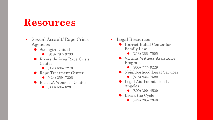- Sexual Assault/ Rape Crisis Agencies
	- ⚫ Strength United
		- (818) 787- 9700
	- Riverside Area Rape Crisis Center
		- (951) 686-7273
	- Rape Treatment Center
		- (424) 259- 7208
	- East LA Women's Center
		- (800) 585- 6231
- Legal Resources
	- Harriet Buhal Center for Family Law
		- (213) 388- 7505
	- ⚫ Victims Witness Assistance Program
		- ⚫ (800) 777- 9229
	- ⚫ Neighborhood Legal Services
		- ⚫ (818) 834- 7522
	- ⚫ Legal Aid Foundation Los Angeles
		- (800) 399-4529
	- ⚫ Break the Cycle
		- (424) 265- 7346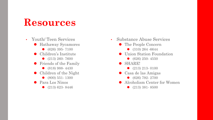- Youth/ Teen Services ⚫ Hathaway Sycamores ● (626) 395- 7100 ● Children's Institute ● (213) 260- 7600 ⚫ Friends of the Family
	- (818) 988-4430
	- Children of the Night
		- (800) 551- 1300
	- Para Los Ninos
		- ⚫ (213) 623- 8446
- Substance Abuse Services
	- ⚫ The People Concern
		- ⚫ (310) 264 -6644
	- ⚫ Union Station Foundation
		- (626) 250-4550
	- ⚫ SHARE!
		- (213) 213- 0100
	- ⚫ Casa de las Amigas
		- (626) 792- 2700
	- Alcoholism Center for Women
		- (213) 381-8500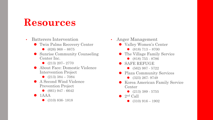- Batterers Intervention
	- ⚫ Twin Palms Recovery Center
		- $\bullet$  (626) 968 8875
	- ⚫ Sunrise Community Counseling Center Inc.
		- $\bullet$  (213) 207-2770
	- ⚫ About Face: Domestic Violence Intervention Project
		- $\bullet$  (213) 384 7084
	- ⚫ A Second Wind Violence Prevention Project
		- ⚫ (661) 947 6642
	- $\bullet$  1AAA
		- (310) 836- 1818
- Anger Management
	- ⚫ Valley Women's Center
		- $\bullet$  (818) 713 8700
	- ⚫ The Village Family Service
		- ⚫ (818) 755 8786
	- ⚫ SAFE REFUGE
		- ⚫ (562) 987 5722
	- ⚫ Plaza Community Services
		- (323) 267- 9749
	- ⚫ Korea American Family Service Center
		- (213) 389 5755
	- $\bullet$  2<sup>nd</sup> Call
		- $\bullet$  (310) 916 1902